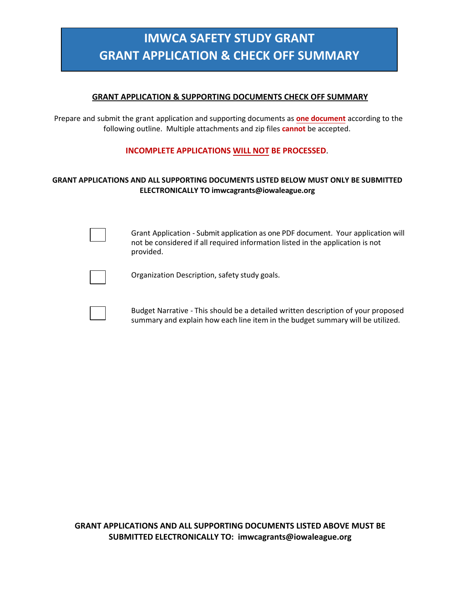# **IMWCA SAFETY STUDY GRANT GRANT APPLICATION & CHECK OFF SUMMARY**

### **GRANT APPLICATION & SUPPORTING DOCUMENTS CHECK OFF SUMMARY**

Prepare and submit the grant application and supporting documents as **one document** according to the following outline. Multiple attachments and zip files **cannot** be accepted.

## **INCOMPLETE APPLICATIONS WILL NOT BE PROCESSED**.

### **GRANT APPLICATIONS AND ALL SUPPORTING DOCUMENTS LISTED BELOW MUST ONLY BE SUBMITTED ELECTRONICALLY TO imwcagrants@iowaleague.org**

Grant Application - Submit application as one PDF document. Your application will not be considered if all required information listed in the application is not provided.

Organization Description, safety study goals.

Budget Narrative - This should be a detailed written description of your proposed summary and explain how each line item in the budget summary will be utilized.

**GRANT APPLICATIONS AND ALL SUPPORTING DOCUMENTS LISTED ABOVE MUST BE SUBMITTED ELECTRONICALLY TO: imwcagrants@iowaleague.org**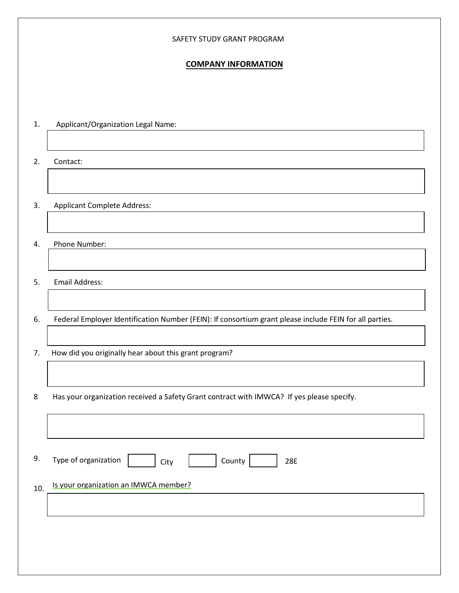#### SAFETY STUDY GRANT PROGRAM

### **COMPANY INFORMATION**

| 1.  | Applicant/Organization Legal Name:                                                                      |  |  |  |
|-----|---------------------------------------------------------------------------------------------------------|--|--|--|
|     |                                                                                                         |  |  |  |
| 2.  | Contact:                                                                                                |  |  |  |
|     |                                                                                                         |  |  |  |
| 3.  | <b>Applicant Complete Address:</b>                                                                      |  |  |  |
|     |                                                                                                         |  |  |  |
| 4.  | Phone Number:                                                                                           |  |  |  |
|     |                                                                                                         |  |  |  |
| 5.  | Email Address:                                                                                          |  |  |  |
|     |                                                                                                         |  |  |  |
| 6.  | Federal Employer Identification Number (FEIN): If consortium grant please include FEIN for all parties. |  |  |  |
|     |                                                                                                         |  |  |  |
| 7.  | How did you originally hear about this grant program?                                                   |  |  |  |
|     |                                                                                                         |  |  |  |
| 8   | Has your organization received a Safety Grant contract with IMWCA? If yes please specify.               |  |  |  |
|     |                                                                                                         |  |  |  |
|     |                                                                                                         |  |  |  |
| 9.  | Type of organization<br>County<br>28E<br>City                                                           |  |  |  |
| 10. | Is your organization an IMWCA member?                                                                   |  |  |  |
|     |                                                                                                         |  |  |  |
|     |                                                                                                         |  |  |  |
|     |                                                                                                         |  |  |  |
|     |                                                                                                         |  |  |  |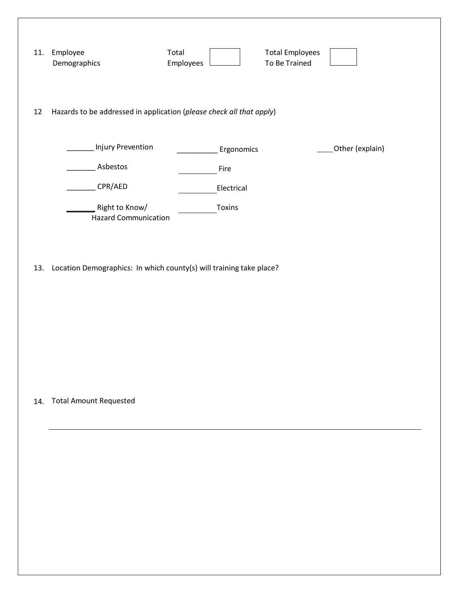| 11. | Employee<br>Demographics                                             | Total<br>Employees | <b>Total Employees</b><br>To Be Trained |  |
|-----|----------------------------------------------------------------------|--------------------|-----------------------------------------|--|
| 12  | Hazards to be addressed in application (please check all that apply) |                    |                                         |  |
|     | Injury Prevention                                                    | Ergonomics         | Other (explain)                         |  |
|     | Asbestos                                                             | Fire               |                                         |  |
|     | CPR/AED                                                              | Electrical         |                                         |  |
|     | Right to Know/<br><b>Hazard Communication</b>                        | Toxins             |                                         |  |
| 13. | Location Demographics: In which county(s) will training take place?  |                    |                                         |  |
| 14. | <b>Total Amount Requested</b>                                        |                    |                                         |  |
|     |                                                                      |                    |                                         |  |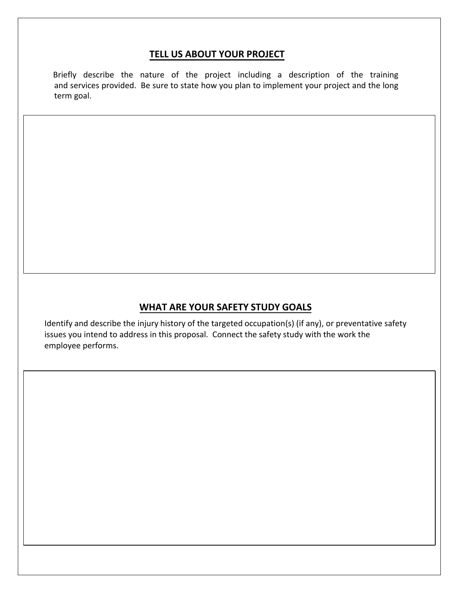# **TELL US ABOUT YOUR PROJECT**

Briefly describe the nature of the project including a description of the training and services provided. Be sure to state how you plan to implement your project and the long term goal.

# **WHAT ARE YOUR SAFETY STUDY GOALS**

Identify and describe the injury history of the targeted occupation(s) (if any), or preventative safety issues you intend to address in this proposal. Connect the safety study with the work the employee performs.